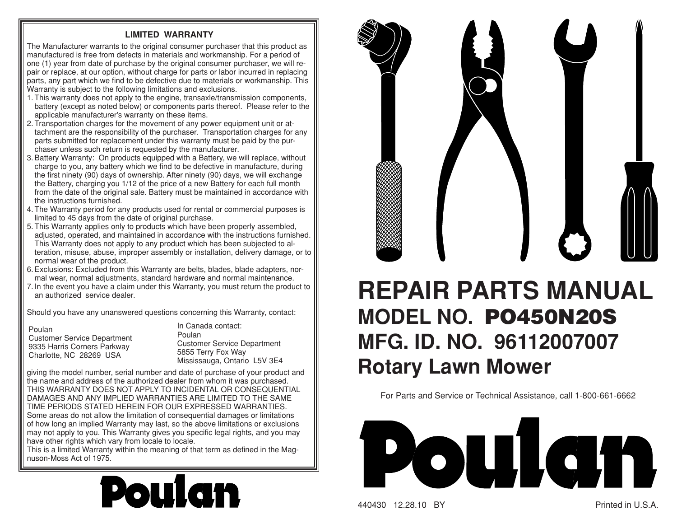## **LIMITED WARRANTY**

The Manufacturer warrants to the original consumer purchaser that this product as manufactured is free from defects in materials and workmanship. For a period of one (1) year from date of purchase by the original consumer purchaser, we will repair or replace, at our option, without charge for parts or labor incurred in replacing parts, any part which we find to be defective due to materials or work manship. This Warranty is subject to the following limitations and exclusions.

- 1. This warranty does not apply to the engine, transaxle/transmission components, battery (except as noted below) or components parts thereof. Please refer to the applicable manufacturer's warranty on these items.
- 2. Transportation charges for the movement of any power equipment unit or attachment are the responsibility of the purchaser. Transportation charges for any parts submitted for replacement under this warranty must be paid by the purchaser unless such return is requested by the manufacturer.
- 3. Battery Warranty: On products equipped with a Battery, we will replace, without charge to you, any battery which we find to be defective in manufacture, during the first ninety (90) days of ownership. After ninety (90) days, we will exchange the Battery, charging you 1/12 of the price of a new Battery for each full month from the date of the original sale. Battery must be maintained in accordance with the instructions furnished.
- 4. The Warranty period for any products used for rental or commercial purposes is limited to 45 days from the date of original purchase.
- 5. This Warranty applies only to products which have been properly assembled, adjusted, operated, and maintained in accordance with the instructions furnished. This Warranty does not apply to any product which has been subjected to alteration, misuse, abuse, improper assembly or installation, delivery damage, or to normal wear of the product.
- 6. Exclusions: Excluded from this Warranty are belts, blades, blade adapters, normal wear, normal adjustments, standard hardware and normal maintenance.
- 7. In the event you have a claim under this Warranty, you must return the product to an authorized service dealer.

Should you have any unanswered questions concerning this Warranty, contact:

PoulanCustomer Service Department 9335 Harris Corners Parkway Charlotte, NC 28269 USA

In Canada contact:PoulanCustomer Service Department 5855 Terry Fox Way Mississauga, Ontario L5V 3E4

giving the model number, serial number and date of purchase of your product and the name and address of the authorized dealer from whom it was purchased. THIS WARRANTY DOES NOT APPLY TO INCIDENTAL OR CONSEQUENTIAL DAMAGES AND ANY IMPLIED WARRANTIES ARE LIMITED TO THE SAME TIME PERIODS STATED HEREIN FOR OUR EXPRESSED WARRANTIES. Some areas do not allow the limitation of consequential damages or limitations of how long an implied Warranty may last, so the above limitations or exclusions may not apply to you. This Warranty gives you specific legal rights, and you may have other rights which vary from locale to locale.

This is a limited Warranty within the meaning of that term as defined in the Magnuson-Moss Act of 1975.





## **REPAIR PARTS MANUAL MODEL NO. PO450N20SMFG. ID. NO. 96112007007 Rotary Lawn Mower**

For Parts and Service or Technical Assistance, call 1-800-661-6662



440430 12.28.10 BY Printed in U.S.A.